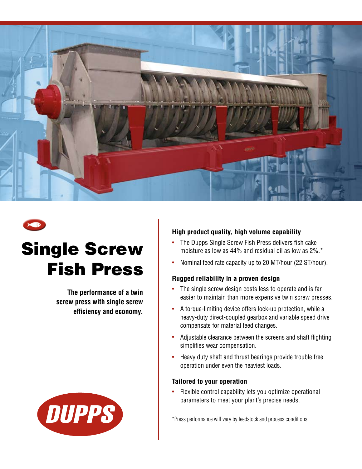

# Single Screw Fish Press

**The performance of a twin screw press with single screw efficiency and economy.**



### **High product quality, high volume capability**

- The Dupps Single Screw Fish Press delivers fish cake moisture as low as 44% and residual oil as low as 2%.\*
- Nominal feed rate capacity up to 20 MT/hour (22 ST/hour).

### **Rugged reliability in a proven design**

- The single screw design costs less to operate and is far easier to maintain than more expensive twin screw presses.
- A torque-limiting device offers lock-up protection, while a heavy-duty direct-coupled gearbox and variable speed drive compensate for material feed changes.
- Adjustable clearance between the screens and shaft flighting simplifies wear compensation.
- Heavy duty shaft and thrust bearings provide trouble free operation under even the heaviest loads.

#### **Tailored to your operation**

• Flexible control capability lets you optimize operational parameters to meet your plant's precise needs.

\*Press performance will vary by feedstock and process conditions.